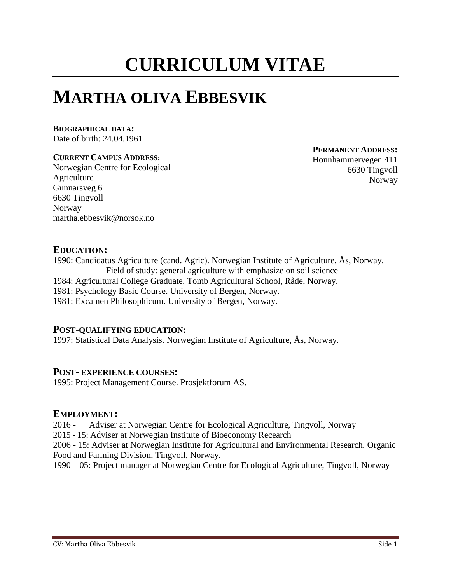# **CURRICULUM VITAE**

## **MARTHA OLIVA EBBESVIK**

## **BIOGRAPHICAL DATA:**

Date of birth: 24.04.1961

### **CURRENT CAMPUS ADDRESS:**

Norwegian Centre for Ecological Agriculture Gunnarsveg 6 6630 Tingvoll Norway martha.ebbesvik@norsok.no

**PERMANENT ADDRESS:**

Honnhammervegen 411 6630 Tingvoll Norway

## **EDUCATION:**

1990: Candidatus Agriculture (cand. Agric). Norwegian Institute of Agriculture, Ås, Norway. Field of study: general agriculture with emphasize on soil science 1984: Agricultural College Graduate. Tomb Agricultural School, Råde, Norway. 1981: Psychology Basic Course. University of Bergen, Norway. 1981: Excamen Philosophicum. University of Bergen, Norway.

## **POST-QUALIFYING EDUCATION:**

1997: Statistical Data Analysis. Norwegian Institute of Agriculture, Ås, Norway.

## **POST- EXPERIENCE COURSES:**

1995: Project Management Course. Prosjektforum AS.

## **EMPLOYMENT:**

2016 - Adviser at Norwegian Centre for Ecological Agriculture, Tingvoll, Norway

2015 - 15: Adviser at Norwegian Institute of Bioeconomy Recearch

2006 - 15: Adviser at Norwegian Institute for Agricultural and Environmental Research, Organic Food and Farming Division, Tingvoll, Norway.

1990 – 05: Project manager at Norwegian Centre for Ecological Agriculture, Tingvoll, Norway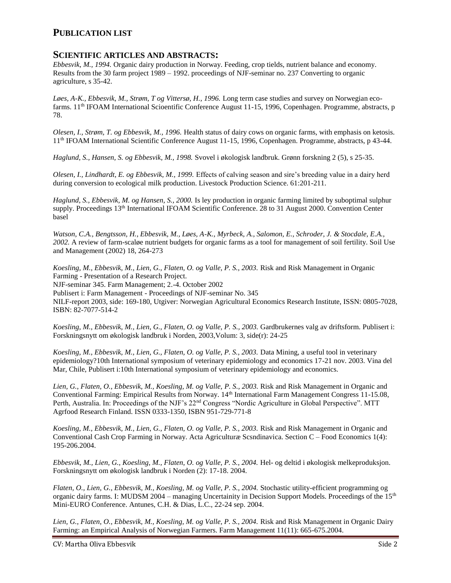## **PUBLICATION LIST**

#### **SCIENTIFIC ARTICLES AND ABSTRACTS:**

*Ebbesvik, M., 1994.* Organic dairy production in Norway. Feeding, crop tields, nutrient balance and economy. Results from the 30 farm project 1989 – 1992. proceedings of NJF-seminar no. 237 Converting to organic agriculture, s 35-42.

*Løes, A-K., Ebbesvik, M., Strøm, T og Vittersø, H., 1996.* Long term case studies and survey on Norwegian ecofarms. 11<sup>th</sup> IFOAM International Scioentific Conference August 11-15, 1996, Copenhagen. Programme, abstracts, p 78.

*Olesen, I., Strøm, T. og Ebbesvik, M., 1996.* Health status of dairy cows on organic farms, with emphasis on ketosis. 11th IFOAM International Scientific Conference August 11-15, 1996, Copenhagen. Programme, abstracts, p 43-44.

*Haglund, S., Hansen, S. og Ebbesvik, M., 1998.* Svovel i økologisk landbruk. Grønn forskning 2 (5), s 25-35.

*Olesen, I., Lindhardt, E. og Ebbesvik, M., 1999.* Effects of calving season and sire's breeding value in a dairy herd during conversion to ecological milk production. Livestock Production Science. 61:201-211.

*Haglund, S., Ebbesvik, M. og Hansen, S., 2000.* Is ley production in organic farming limited by suboptimal sulphur supply. Proceedings 13th International IFOAM Scientific Conference. 28 to 31 August 2000. Convention Center basel

*Watson, C.A., Bengtsson, H., Ebbesvik, M., Løes, A-K., Myrbeck, A., Salomon, E., Schroder, J. & Stocdale, E.A., 2002.* A review of farm-scaløe nutrient budgets for organic farms as a tool for management of soil fertility. Soil Use and Management (2002) 18, 264-273

*Koesling, M., Ebbesvik, M., Lien, G., Flaten, O. og Valle, P. S., 2003.* Risk and Risk Management in Organic Farming - Presentation of a Research Project. NJF-seminar 345. Farm Management; 2.-4. October 2002 Publisert i: Farm Management - Proceedings of NJF-seminar No. 345 NILF-report 2003, side: 169-180, Utgiver: Norwegian Agricultural Economics Research Institute, ISSN: 0805-7028, ISBN: 82-7077-514-2

*Koesling, M., Ebbesvik, M., Lien, G., Flaten, O. og Valle, P. S., 2003.* Gardbrukernes valg av driftsform. Publisert i: Forskningsnytt om økologisk landbruk i Norden, 2003,Volum: 3, side(r): 24-25

*Koesling, M., Ebbesvik, M., Lien, G., Flaten, O. og Valle, P. S., 2003.* Data Mining, a useful tool in veterinary epidemiology?10th International symposium of veterinary epidemiology and economics 17-21 nov. 2003. Vina del Mar, Chile, Publisert i:10th International symposium of veterinary epidemiology and economics.

*Lien, G., Flaten, O., Ebbesvik, M., Koesling, M. og Valle, P. S., 2003.* Risk and Risk Management in Organic and Conventional Farming: Empirical Results from Norway. 14th International Farm Management Congress 11-15.08, Perth, Australia. In: Proceedings of the NJF's 22<sup>nd</sup> Congress "Nordic Agriculture in Global Perspective". MTT Agrfood Research Finland. ISSN 0333-1350, ISBN 951-729-771-8

*Koesling, M., Ebbesvik, M., Lien, G., Flaten, O. og Valle, P. S., 2003.* Risk and Risk Management in Organic and Conventional Cash Crop Farming in Norway. Acta Agriculturæ Scsndinavica. Section C – Food Economics 1(4): 195-206.2004.

*Ebbesvik, M., Lien, G., Koesling, M., Flaten, O. og Valle, P. S., 2004.* Hel- og deltid i økologisk melkeproduksjon. Forskningsnytt om økologisk landbruk i Norden (2): 17-18. 2004.

*Flaten, O., Lien, G., Ebbesvik, M., Koesling, M. og Valle, P. S., 2004.* Stochastic utility-efficient programming og organic dairy farms. I: MUDSM 2004 – managing Uncertainity in Decision Support Models. Proceedings of the 15<sup>th</sup> Mini-EURO Conference. Antunes, C.H. & Dias, L.C., 22-24 sep. 2004.

*Lien, G., Flaten, O., Ebbesvik, M., Koesling, M. og Valle, P. S., 2004.* Risk and Risk Management in Organic Dairy Farming: an Empirical Analysis of Norwegian Farmers. Farm Management 11(11): 665-675.2004.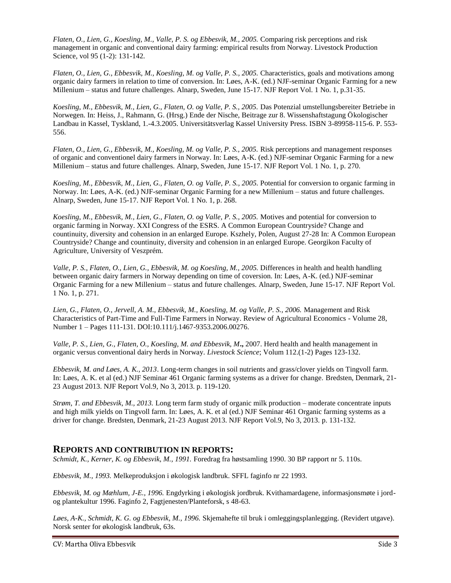*Flaten, O., Lien, G., Koesling, M., Valle, P. S. og Ebbesvik, M., 2005.* Comparing risk perceptions and risk management in organic and conventional dairy farming: empirical results from Norway. Livestock Production Science, vol 95 (1-2): 131-142.

*Flaten, O., Lien, G., Ebbesvik, M., Koesling, M. og Valle, P. S., 2005.* Characteristics, goals and motivations among organic dairy farmers in relation to time of conversion. In: Løes, A-K. (ed.) NJF-seminar Organic Farming for a new Millenium – status and future challenges. Alnarp, Sweden, June 15-17. NJF Report Vol. 1 No. 1, p.31-35.

*Koesling, M., Ebbesvik, M., Lien, G., Flaten, O. og Valle, P. S., 2005.* Das Potenzial umstellungsbereiter Betriebe in Norwegen. In: Heiss, J., Rahmann, G. (Hrsg.) Ende der Nische, Beitrage zur 8. Wissenshaftstagung Ökologischer Landbau in Kassel, Tyskland, 1.-4.3.2005. Universitätsverlag Kassel University Press. ISBN 3-89958-115-6. P. 553- 556.

*Flaten, O., Lien, G., Ebbesvik, M., Koesling, M. og Valle, P. S., 2005.* Risk perceptions and management responses of organic and conventionel dairy farmers in Norway. In: Løes, A-K. (ed.) NJF-seminar Organic Farming for a new Millenium – status and future challenges. Alnarp, Sweden, June 15-17. NJF Report Vol. 1 No. 1, p. 270.

*Koesling, M., Ebbesvik, M., Lien, G., Flaten, O. og Valle, P. S., 2005.* Potential for conversion to organic farming in Norway. In: Løes, A-K. (ed.) NJF-seminar Organic Farming for a new Millenium – status and future challenges. Alnarp, Sweden, June 15-17. NJF Report Vol. 1 No. 1, p. 268.

*Koesling, M., Ebbesvik, M., Lien, G., Flaten, O. og Valle, P. S., 2005.* Motives and potential for conversion to organic farming in Norway. XXI Congress of the ESRS. A Common European Countryside? Change and countinuity, diversity and cohension in an enlarged Europe. Kszhely, Polen, August 27-28 In: A Common European Countryside? Change and countinuity, diversity and cohension in an enlarged Europe. Georgikon Faculty of Agriculture, University of Veszprém.

*Valle, P. S., Flaten, O., Lien, G., Ebbesvik, M. og Koesling, M., 2005.* Differences in health and health handling between organic dairy farmers in Norway depending on time of coversion. In: Løes, A-K. (ed.) NJF-seminar Organic Farming for a new Millenium – status and future challenges. Alnarp, Sweden, June 15-17. NJF Report Vol. 1 No. 1, p. 271.

*Lien, G., Flaten, O., Jervell, A. M., Ebbesvik, M., Koesling, M. og Valle, P. S., 2006.* Management and Risk Characteristics of Part-Time and Full-Time Farmers in Norway. Review of Agricultural Economics - Volume 28, Number 1 – Pages 111-131. DOI:10.111/j.1467-9353.2006.00276.

*Valle, P. S., Lien, G., Flaten, O., Koesling, M. and Ebbesvik, M***.,** 2007. Herd health and health management in organic versus conventional dairy herds in Norway. *Livestock Science*; Volum 112.(1-2) Pages 123-132.

*Ebbesvik, M. and Løes, A. K., 2013*. Long-term changes in soil nutrients and grass/clover yields on Tingvoll farm. In: Løes, A. K. et al (ed.) NJF Seminar 461 Organic farming systems as a driver for change. Bredsten, Denmark, 21- 23 August 2013. NJF Report Vol.9, No 3, 2013. p. 119-120.

*Strøm, T. and Ebbesvik, M., 2013.* Long term farm study of organic milk production – moderate concentrate inputs and high milk yields on Tingvoll farm. In: Løes, A. K. et al (ed.) NJF Seminar 461 Organic farming systems as a driver for change. Bredsten, Denmark, 21-23 August 2013. NJF Report Vol.9, No 3, 2013. p. 131-132.

#### **REPORTS AND CONTRIBUTION IN REPORTS:**

*Schmidt, K., Kerner, K. og Ebbesvik, M., 1991.* Foredrag fra høstsamling 1990. 30 BP rapport nr 5. 110s.

*Ebbesvik, M., 1993.* Melkeproduksjon i økologisk landbruk. SFFL faginfo nr 22 1993.

*Ebbesvik, M. og Mæhlum, J-E., 1996.* Engdyrking i økologisk jordbruk. Kvithamardagene, informasjonsmøte i jordog plantekultur 1996. Faginfo 2, Fagtjenesten/Planteforsk, s 48-63.

*Løes, A-K., Schmidt, K. G. og Ebbesvik, M., 1996.* Skjemahefte til bruk i omleggingsplanlegging. (Revidert utgave). Norsk senter for økologisk landbruk, 63s.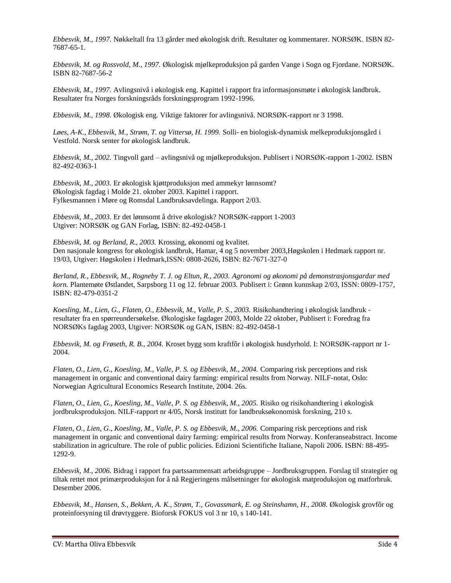*Ebbesvik, M., 1997.* Nøkkeltall fra 13 gårder med økologisk drift. Resultater og kommentarer. NORSØK. ISBN 82- 7687-65-1.

*Ebbesvik, M. og Rossvold, M., 1997.* Økologisk mjølkeproduksjon på garden Vange i Sogn og Fjordane. NORSØK. ISBN 82-7687-56-2

*Ebbesvik, M., 1997.* Avlingsnivå i økologisk eng. Kapittel i rapport fra informasjonsmøte i økologisk landbruk. Resultater fra Norges forskningsråds forskningsprogram 1992-1996.

*Ebbesvik, M., 1998.* Økologisk eng. Viktige faktorer for avlingsnivå. NORSØK-rapport nr 3 1998.

*Løes, A-K., Ebbesvik, M., Strøm, T. og Vittersø, H. 1999.* Solli- en biologisk-dynamisk melkeproduksjonsgård i Vestfold. Norsk senter for økologisk landbruk.

*Ebbesvik, M., 2002.* Tingvoll gard – avlingsnivå og mjølkeproduksjon. Publisert i NORSØK-rapport 1-2002. ISBN 82-492-0363-1

*Ebbesvik, M., 2003.* Er økologisk kjøttproduksjon med ammekyr lønnsomt? Økologisk fagdag i Molde 21. oktober 2003. Kapittel i rapport. Fylkesmannen i Møre og Romsdal Landbruksavdelinga. Rapport 2/03.

*Ebbesvik, M., 2003.* Er det lønnsomt å drive økologisk? NORSØK-rapport 1-2003 Utgiver: NORSØK og GAN Forlag, ISBN: 82-492-0458-1

*Ebbesvik, M. og Berland, R., 2003.* Krossing, økonomi og kvalitet. Den nasjonale kongress for økologisk landbruk, Hamar, 4 og 5 november 2003,Høgskolen i Hedmark rapport nr. 19/03, Utgiver: Høgskolen i Hedmark,ISSN: 0808-2626, ISBN: 82-7671-327-0

*Berland, R., Ebbesvik, M., Rogneby T. J. og Eltun, R., 2003. Agronomi og økonomi på demonstrasjonsgardar med korn.* Plantemøte Østlandet, Sarpsborg 11 og 12. februar 2003. Publisert i: Grønn kunnskap 2/03, ISSN: 0809-1757, ISBN: 82-479-0351-2

*Koesling, M., Lien, G., Flaten, O., Ebbesvik, M., Valle, P. S., 2003.* Risikohandtering i økologisk landbruk resultater fra en spørreundersøkelse. Økologiske fagdager 2003, Molde 22 oktober, Publisert i: Foredrag fra NORSØKs fagdag 2003, Utgiver: NORSØK og GAN, ISBN: 82-492-0458-1

*Ebbesvik, M. og Frøseth, R. B., 2004.* Kroset bygg som kraftfôr i økologisk husdyrhold. I: NORSØK-rapport nr 1- 2004.

*Flaten, O., Lien, G., Koesling, M., Valle, P. S. og Ebbesvik, M., 2004.* Comparing risk perceptions and risk management in organic and conventional dairy farming: empirical results from Norway. NILF-notat, Oslo: Norwegian Agricultural Economics Research Institute, 2004. 26s.

*Flaten, O., Lien, G., Koesling, M., Valle, P. S. og Ebbesvik, M., 2005.* Risiko og risikohandtering i økologisk jordbruksproduksjon. NILF-rapport nr 4/05, Norsk institutt for landbruksøkonomisk forskning, 210 s.

*Flaten, O., Lien, G., Koesling, M., Valle, P. S. og Ebbesvik, M., 2006.* Comparing risk perceptions and risk management in organic and conventional dairy farming: empirical results from Norway. Konferanseabstract. Income stabilization in agriculture. The role of public policies. Edizioni Scientifiche Italiane, Napoli 2006. ISBN: 88-495- 1292-9.

*Ebbesvik, M., 2006.* Bidrag i rapport fra partssammensatt arbeidsgruppe – Jordbruksgruppen. Forslag til strategier og tiltak rettet mot primærproduksjon for å nå Regjeringens målsetninger for økologisk matproduksjon og matforbruk. Desember 2006.

*Ebbesvik, M., Hansen, S., Bekken, A. K., Strøm, T., Govassmark, E. og Steinshamn, H., 2008.* Økologisk grovfôr og proteinforsyning til drøvtyggere. Bioforsk FOKUS vol 3 nr 10, s 140-141.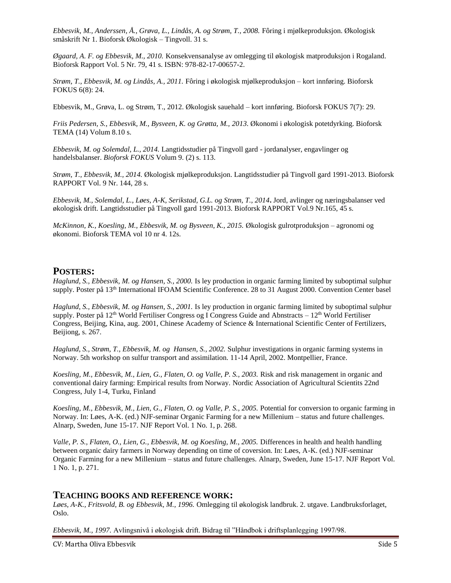*Ebbesvik, M., Anderssen, Å., Grøva, L., Lindås, A. og Strøm, T., 2008.* Fôring i mjølkeproduksjon. Økologisk småskrift Nr 1. Bioforsk Økologisk – Tingvoll. 31 s.

*Øgaard, A. F. og Ebbesvik, M., 2010.* Konsekvensanalyse av omlegging til økologisk matproduksjon i Rogaland. Bioforsk Rapport Vol. 5 Nr. 79, 41 s. ISBN: 978-82-17-00657-2.

*Strøm, T., Ebbesvik, M. og Lindås, A., 2011.* Fôring i økologisk mjølkeproduksjon – kort innføring. Bioforsk FOKUS 6(8): 24.

Ebbesvik, M., Grøva, L. og Strøm, T., 2012. Økologisk sauehald – kort innføring. Bioforsk FOKUS 7(7): 29.

*Friis Pedersen, S., Ebbesvik, M., Bysveen, K. og Grøtta, M., 2013*. Økonomi i økologisk potetdyrking. Bioforsk TEMA (14) Volum 8.10 s.

*Ebbesvik, M. og Solemdal, L., 2014.* Langtidsstudier på Tingvoll gard - jordanalyser, engavlinger og handelsbalanser. *Bioforsk FOKUS* Volum 9. (2) s. 113.

*Strøm, T., Ebbesvik, M., 2014.* Økologisk mjølkeproduksjon. Langtidsstudier på Tingvoll gard 1991-2013. Bioforsk RAPPORT Vol. 9 Nr. 144, 28 s.

*Ebbesvik, M., Solemdal, L., Løes, A-K, Serikstad, G.L. og Strøm, T., 2014***.** Jord, avlinger og næringsbalanser ved økologisk drift. Langtidsstudier på Tingvoll gard 1991-2013. Bioforsk RAPPORT Vol.9 Nr.165, 45 s.

*McKinnon, K., Koesling, M., Ebbesvik, M. og Bysveen, K., 2015.* Økologisk gulrotproduksjon – agronomi og økonomi. Bioforsk TEMA vol 10 nr 4. 12s.

#### **POSTERS:**

*Haglund, S., Ebbesvik, M. og Hansen, S., 2000.* Is ley production in organic farming limited by suboptimal sulphur supply. Poster på 13th International IFOAM Scientific Conference. 28 to 31 August 2000. Convention Center basel

*Haglund, S., Ebbesvik, M. og Hansen, S., 2001.* Is ley production in organic farming limited by suboptimal sulphur supply. Poster på 12<sup>th</sup> World Fertiliser Congress og I Congress Guide and Abnstracts – 12<sup>th</sup> World Fertiliser Congress, Beijing, Kina, aug. 2001, Chinese Academy of Science & International Scientific Center of Fertilizers, Beijiong, s. 267.

*Haglund, S., Strøm, T., Ebbesvik, M. og Hansen, S., 2002.* Sulphur investigations in organic farming systems in Norway. 5th workshop on sulfur transport and assimilation. 11-14 April, 2002. Montpellier, France.

*Koesling, M., Ebbesvik, M., Lien, G., Flaten, O. og Valle, P. S., 2003.* Risk and risk management in organic and conventional dairy farming: Empirical results from Norway. Nordic Association of Agricultural Scientits 22nd Congress, July 1-4, Turku, Finland

*Koesling, M., Ebbesvik, M., Lien, G., Flaten, O. og Valle, P. S., 2005.* Potential for conversion to organic farming in Norway. In: Løes, A-K. (ed.) NJF-seminar Organic Farming for a new Millenium – status and future challenges. Alnarp, Sweden, June 15-17. NJF Report Vol. 1 No. 1, p. 268.

*Valle, P. S., Flaten, O., Lien, G., Ebbesvik, M. og Koesling, M., 2005.* Differences in health and health handling between organic dairy farmers in Norway depending on time of coversion. In: Løes, A-K. (ed.) NJF-seminar Organic Farming for a new Millenium – status and future challenges. Alnarp, Sweden, June 15-17. NJF Report Vol. 1 No. 1, p. 271.

#### **TEACHING BOOKS AND REFERENCE WORK:**

*Løes, A-K., Fritsvold, B. og Ebbesvik, M., 1996.* Omlegging til økologisk landbruk. 2. utgave. Landbruksforlaget, Oslo.

*Ebbesvik, M., 1997.* Avlingsnivå i økologisk drift. Bidrag til "Håndbok i driftsplanlegging 1997/98.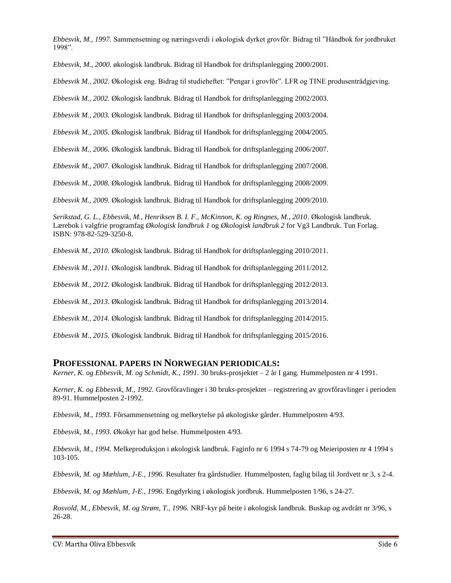*Ebbesvik, M., 1997.* Sammensetning og næringsverdi i økologisk dyrket grovfôr. Bidrag til "Håndbok for jordbruket 1998".

*Ebbesvik, M., 2000.* økologisk landbruk. Bidrag til Handbok for driftsplanlegging 2000/2001.

*Ebbesvik M., 2002.* Økologisk eng. Bidrag til studieheftet: "Pengar i grovfôr". LFR og TINE produsentrådgjeving.

*Ebbesvik M., 2002.* Økologisk landbruk. Bidrag til Handbok for driftsplanlegging 2002/2003.

*Ebbesvik M., 2003.* Økologisk landbruk. Bidrag til Handbok for driftsplanlegging 2003/2004.

*Ebbesvik M., 2005.* Økologisk landbruk. Bidrag til Handbok for driftsplanlegging 2004/2005.

*Ebbesvik M., 2006.* Økologisk landbruk. Bidrag til Handbok for driftsplanlegging 2006/2007.

*Ebbesvik M., 2007.* Økologisk landbruk. Bidrag til Handbok for driftsplanlegging 2007/2008.

*Ebbesvik M., 2008.* Økologisk landbruk. Bidrag til Handbok for driftsplanlegging 2008/2009.

*Ebbesvik M., 2009.* Økologisk landbruk. Bidrag til Handbok for driftsplanlegging 2009/2010.

*Serikstad, G. L., Ebbesvik, M., Henriksen B. I. F., McKinnon, K. og Ringnes, M., 2010*. Økologisk landbruk. Lærebok i valgfrie programfag *Økologisk landbruk 1* og *Økologisk landbruk 2* for Vg3 Landbruk. Tun Forlag. ISBN: 978-82-529-3250-8.

*Ebbesvik M., 2010.* Økologisk landbruk. Bidrag til Handbok for driftsplanlegging 2010/2011.

*Ebbesvik M., 2011.* Økologisk landbruk. Bidrag til Handbok for driftsplanlegging 2011/2012.

*Ebbesvik M., 2012.* Økologisk landbruk. Bidrag til Handbok for driftsplanlegging 2012/2013.

*Ebbesvik M., 2013.* Økologisk landbruk. Bidrag til Handbok for driftsplanlegging 2013/2014.

*Ebbesvik M., 2014.* Økologisk landbruk. Bidrag til Handbok for driftsplanlegging 2014/2015.

*Ebbesvik M., 2015.* Økologisk landbruk. Bidrag til Handbok for driftsplanlegging 2015/2016.

#### **PROFESSIONAL PAPERS IN NORWEGIAN PERIODICALS:**

*Kerner, K. og Ebbesvik, M. og Schmidt, K., 1991.* 30 bruks-prosjektet – 2 år I gang. Hummelposten nr 4 1991.

*Kerner, K. og Ebbesvik, M., 1992.* Grovfôravlinger i 30 bruks-prosjektet – registrering av grovfôravlinger i perioden 89-91. Hummelposten 2-1992.

*Ebbesvik, M., 1993.* Fôrsammensetning og melkeytelse på økologiske gårder. Hummelposten 4/93.

*Ebbesvik, M., 1993.* Økokyr har god helse. Hummelposten 4/93.

*Ebbesvik, M., 1994.* Melkeproduksjon i økologisk landbruk. Faginfo nr 6 1994 s 74-79 og Meieriposten nr 4 1994 s 103-105.

*Ebbesvik, M. og Mæhlum, J-E., 1996.* Resultater fra gårdstudier. Hummelposten, faglig bilag til Jordvett nr 3, s 2-4.

*Ebbesvik, M. og Mæhlum, J-E., 1996.* Engdyrking i økologisk jordbruk. Hummelposten 1/96, s 24-27.

*Rosvold, M., Ebbesvik, M. og Strøm, T., 1996.* NRF-kyr på beite i økologisk landbruk. Buskap og avdrått nr 3/96, s 26-28.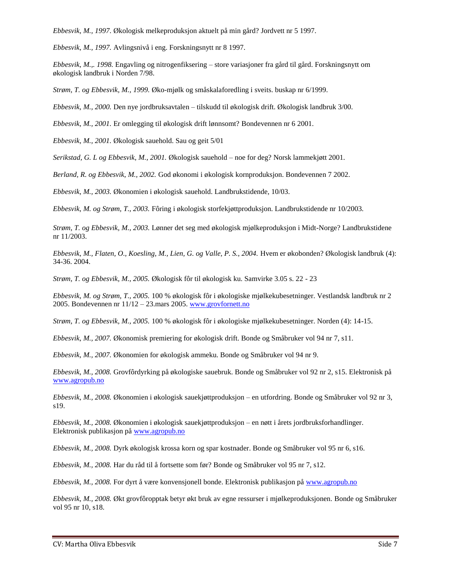*Ebbesvik, M., 1997.* Økologisk melkeproduksjon aktuelt på min gård? Jordvett nr 5 1997.

*Ebbesvik, M., 1997.* Avlingsnivå i eng. Forskningsnytt nr 8 1997.

*Ebbesvik, M.,. 1998.* Engavling og nitrogenfiksering – store variasjoner fra gård til gård. Forskningsnytt om økologisk landbruk i Norden 7/98.

*Strøm, T. og Ebbesvik, M., 1999.* Øko-mjølk og småskalaforedling i sveits. buskap nr 6/1999.

*Ebbesvik, M., 2000.* Den nye jordbruksavtalen – tilskudd til økologisk drift. Økologisk landbruk 3/00.

*Ebbesvik, M., 2001.* Er omlegging til økologisk drift lønnsomt? Bondevennen nr 6 2001.

*Ebbesvik, M., 2001.* Økologisk sauehold. Sau og geit 5/01

*Serikstad, G. L og Ebbesvik, M., 2001.* Økologisk sauehold – noe for deg? Norsk lammekjøtt 2001.

*Berland, R. og Ebbesvik, M., 2002.* God økonomi i økologisk kornproduksjon. Bondevennen 7 2002.

*Ebbesvik, M., 2003.* Økonomien i økologisk sauehold. Landbrukstidende, 10/03.

*Ebbesvik, M. og Strøm, T., 2003.* Fôring i økologisk storfekjøttproduksjon. Landbrukstidende nr 10/2003.

*Strøm, T. og Ebbesvik, M., 2003.* Lønner det seg med økologisk mjølkeproduksjon i Midt-Norge? Landbrukstidene nr 11/2003.

*Ebbesvik, M., Flaten, O., Koesling, M., Lien, G. og Valle, P. S., 2004.* Hvem er økobonden? Økologisk landbruk (4): 34-36. 2004.

*Strøm, T. og Ebbesvik, M., 2005.* Økologisk fôr til økologisk ku. Samvirke 3.05 s. 22 - 23

*Ebbesvik, M. og Strøm, T., 2005.* 100 % økologisk fôr i økologiske mjølkekubesetninger. Vestlandsk landbruk nr 2 2005. Bondevennen nr  $11/12 - 23$  mars 2005[. www.grovfornett.no](http://www.grovfornett.no/)

*Strøm, T. og Ebbesvik, M., 2005.* 100 % økologisk fôr i økologiske mjølkekubesetninger. Norden (4): 14-15.

*Ebbesvik, M., 2007.* Økonomisk premiering for økologisk drift. Bonde og Småbruker vol 94 nr 7, s11.

*Ebbesvik, M., 2007.* Økonomien for økologisk ammeku. Bonde og Småbruker vol 94 nr 9.

*Ebbesvik, M., 2008.* Grovfôrdyrking på økologiske sauebruk. Bonde og Småbruker vol 92 nr 2, s15. Elektronisk på [www.agropub.no](http://www.agropub.no/)

*Ebbesvik, M., 2008.* Økonomien i økologisk sauekjøttproduksjon – en utfordring. Bonde og Småbruker vol 92 nr 3, s19.

*Ebbesvik, M., 2008.* Økonomien i økologisk sauekjøttproduksjon – en nøtt i årets jordbruksforhandlinger. Elektronisk publikasjon p[å www.agropub.no](http://www.agropub.no/)

*Ebbesvik, M., 2008.* Dyrk økologisk krossa korn og spar kostnader. Bonde og Småbruker vol 95 nr 6, s16.

*Ebbesvik, M., 2008.* Har du råd til å fortsette som før? Bonde og Småbruker vol 95 nr 7, s12.

*Ebbesvik, M., 2008.* For dyrt å være konvensjonell bonde. Elektronisk publikasjon på [www.agropub.no](http://www.agropub.no/)

*Ebbesvik, M., 2008.* Økt grovfôropptak betyr økt bruk av egne ressurser i mjølkeproduksjonen. Bonde og Småbruker vol 95 nr 10, s18.